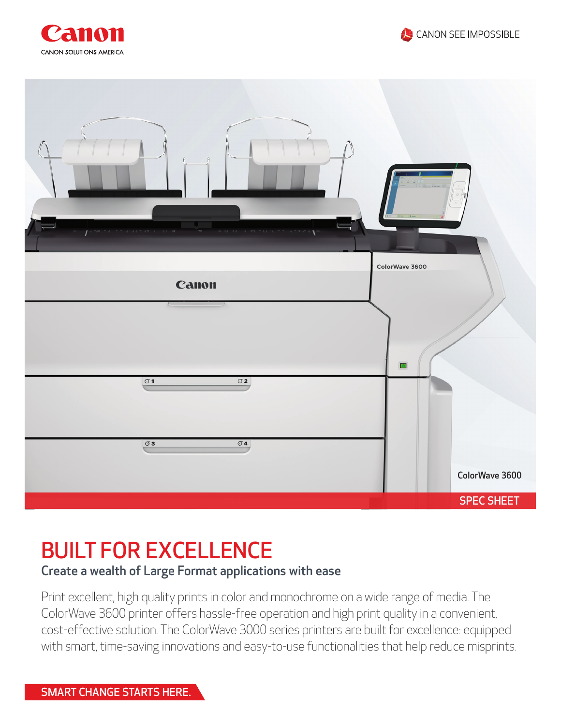





## BUILT FOR EXCELLENCE

## Create a wealth of Large Format applications with ease

Print excellent, high quality prints in color and monochrome on a wide range of media. The ColorWave 3600 printer offers hassle-free operation and high print quality in a convenient, cost-effective solution. The ColorWave 3000 series printers are built for excellence: equipped with smart, time-saving innovations and easy-to-use functionalities that help reduce misprints.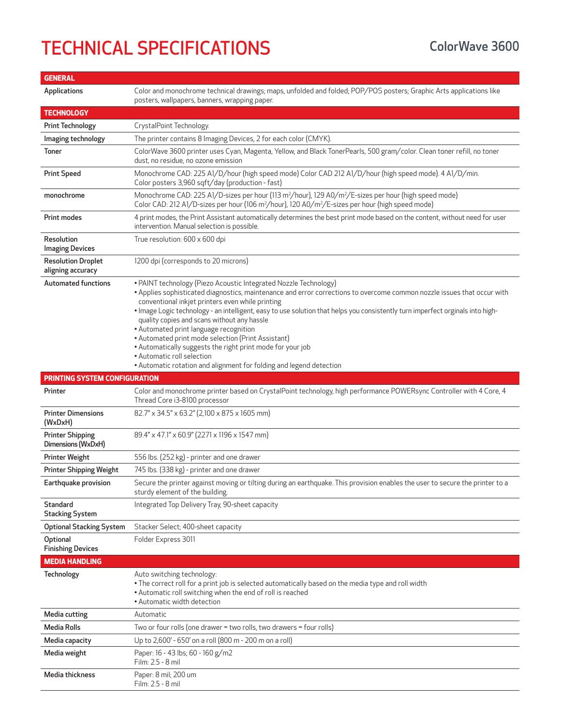## TECHNICAL SPECIFICATIONS ColorWave 3600

| <b>GENERAL</b>                                 |                                                                                                                                                                                                                                                                                                                                                                                                                                                                                                                                                                                                                                                                                                     |
|------------------------------------------------|-----------------------------------------------------------------------------------------------------------------------------------------------------------------------------------------------------------------------------------------------------------------------------------------------------------------------------------------------------------------------------------------------------------------------------------------------------------------------------------------------------------------------------------------------------------------------------------------------------------------------------------------------------------------------------------------------------|
| Applications                                   | Color and monochrome technical drawings; maps, unfolded and folded; POP/POS posters; Graphic Arts applications like<br>posters, wallpapers, banners, wrapping paper.                                                                                                                                                                                                                                                                                                                                                                                                                                                                                                                                |
| <b>TECHNOLOGY</b>                              |                                                                                                                                                                                                                                                                                                                                                                                                                                                                                                                                                                                                                                                                                                     |
| <b>Print Technology</b>                        | CrystalPoint Technology.                                                                                                                                                                                                                                                                                                                                                                                                                                                                                                                                                                                                                                                                            |
| Imaging technology                             | The printer contains 8 Imaging Devices, 2 for each color (CMYK).                                                                                                                                                                                                                                                                                                                                                                                                                                                                                                                                                                                                                                    |
| <b>Toner</b>                                   | ColorWave 3600 printer uses Cyan, Magenta, Yellow, and Black TonerPearls, 500 gram/color. Clean toner refill, no toner<br>dust, no residue, no ozone emission                                                                                                                                                                                                                                                                                                                                                                                                                                                                                                                                       |
| <b>Print Speed</b>                             | Monochrome CAD: 225 A1/D/hour (high speed mode) Color CAD 212 A1/D/hour (high speed mode). 4 A1/D/min.<br>Color posters 3,960 sqft/day (production - fast)                                                                                                                                                                                                                                                                                                                                                                                                                                                                                                                                          |
| monochrome                                     | Monochrome CAD: 225 A1/D-sizes per hour (113 m <sup>2</sup> /hour), 129 A0/m <sup>2</sup> /E-sizes per hour (high speed mode)<br>Color CAD: 212 A1/D-sizes per hour (106 m <sup>2</sup> /hour), 120 A0/m <sup>2</sup> /E-sizes per hour (high speed mode)                                                                                                                                                                                                                                                                                                                                                                                                                                           |
| Print modes                                    | 4 print modes, the Print Assistant automatically determines the best print mode based on the content, without need for user<br>intervention. Manual selection is possible.                                                                                                                                                                                                                                                                                                                                                                                                                                                                                                                          |
| Resolution<br><b>Imaging Devices</b>           | True resolution: 600 x 600 dpi                                                                                                                                                                                                                                                                                                                                                                                                                                                                                                                                                                                                                                                                      |
| <b>Resolution Droplet</b><br>aligning accuracy | 1200 dpi (corresponds to 20 microns)                                                                                                                                                                                                                                                                                                                                                                                                                                                                                                                                                                                                                                                                |
| <b>Automated functions</b>                     | • PAINT technology (Piezo Acoustic Integrated Nozzle Technology)<br>. Applies sophisticated diagnostics, maintenance and error corrections to overcome common nozzle issues that occur with<br>conventional inkjet printers even while printing<br>• Image Logic technology - an intelligent, easy to use solution that helps you consistently turn imperfect orginals into high-<br>quality copies and scans without any hassle<br>• Automated print language recognition<br>• Automated print mode selection (Print Assistant)<br>• Automatically suggests the right print mode for your job<br>• Automatic roll selection<br>• Automatic rotation and alignment for folding and legend detection |
| <b>PRINTING SYSTEM CONFIGURATION</b>           |                                                                                                                                                                                                                                                                                                                                                                                                                                                                                                                                                                                                                                                                                                     |
| Printer                                        | Color and monochrome printer based on CrystalPoint technology, high performance POWERsync Controller with 4 Core, 4<br>Thread Core i3-8100 processor                                                                                                                                                                                                                                                                                                                                                                                                                                                                                                                                                |
| <b>Printer Dimensions</b><br>(WxDxH)           | 82.7" x 34.5" x 63.2" (2,100 x 875 x 1605 mm)                                                                                                                                                                                                                                                                                                                                                                                                                                                                                                                                                                                                                                                       |
| <b>Printer Shipping</b><br>Dimensions (WxDxH)  | 89.4" x 47.1" x 60.9" (2271 x 1196 x 1547 mm)                                                                                                                                                                                                                                                                                                                                                                                                                                                                                                                                                                                                                                                       |
| <b>Printer Weight</b>                          | 556 lbs. (252 kg) - printer and one drawer                                                                                                                                                                                                                                                                                                                                                                                                                                                                                                                                                                                                                                                          |
| <b>Printer Shipping Weight</b>                 | 745 lbs. (338 kg) - printer and one drawer                                                                                                                                                                                                                                                                                                                                                                                                                                                                                                                                                                                                                                                          |
| Earthquake provision                           | Secure the printer against moving or tilting during an earthquake. This provision enables the user to secure the printer to a<br>sturdy element of the building.                                                                                                                                                                                                                                                                                                                                                                                                                                                                                                                                    |
| Standard<br><b>Stacking System</b>             | Integrated Top Delivery Tray, 90-sheet capacity                                                                                                                                                                                                                                                                                                                                                                                                                                                                                                                                                                                                                                                     |
| <b>Optional Stacking System</b>                | Stacker Select; 400-sheet capacity                                                                                                                                                                                                                                                                                                                                                                                                                                                                                                                                                                                                                                                                  |
| Optional<br><b>Finishing Devices</b>           | Folder Express 3011                                                                                                                                                                                                                                                                                                                                                                                                                                                                                                                                                                                                                                                                                 |
| <b>MEDIA HANDLING</b>                          |                                                                                                                                                                                                                                                                                                                                                                                                                                                                                                                                                                                                                                                                                                     |
| Technology                                     | Auto switching technology:<br>. The correct roll for a print job is selected automatically based on the media type and roll width<br>• Automatic roll switching when the end of roll is reached<br>• Automatic width detection                                                                                                                                                                                                                                                                                                                                                                                                                                                                      |
| Media cutting                                  | Automatic                                                                                                                                                                                                                                                                                                                                                                                                                                                                                                                                                                                                                                                                                           |
| <b>Media Rolls</b>                             | Two or four rolls (one drawer = two rolls, two drawers = four rolls)                                                                                                                                                                                                                                                                                                                                                                                                                                                                                                                                                                                                                                |
| Media capacity                                 | Up to 2,600' - 650' on a roll (800 m - 200 m on a roll)                                                                                                                                                                                                                                                                                                                                                                                                                                                                                                                                                                                                                                             |
| Media weight                                   | Paper: 16 - 43 lbs; 60 - 160 g/m2<br>Film: 2.5 - 8 mil                                                                                                                                                                                                                                                                                                                                                                                                                                                                                                                                                                                                                                              |
| Media thickness                                | Paper: 8 mil; 200 um<br>Film: 2.5 - 8 mil                                                                                                                                                                                                                                                                                                                                                                                                                                                                                                                                                                                                                                                           |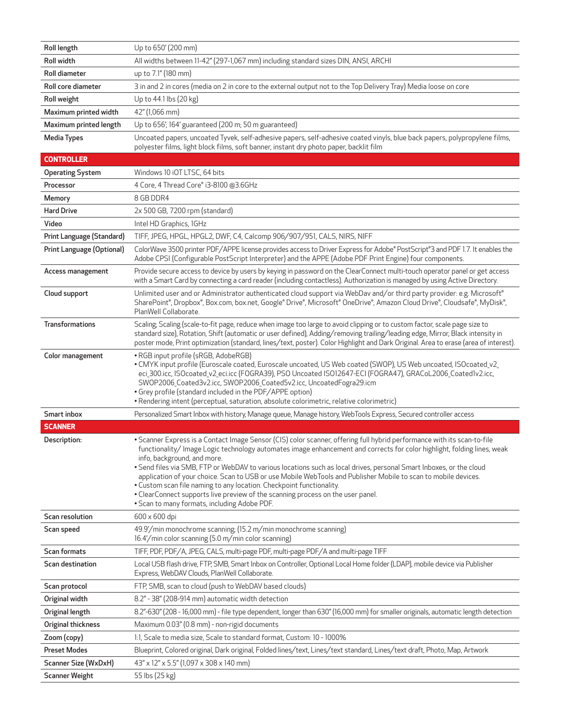| Roll length               | Up to 650' (200 mm)                                                                                                                                                                                                                                                                                                                                                                                                                                                                                                                                                                                                                                                                                                                  |
|---------------------------|--------------------------------------------------------------------------------------------------------------------------------------------------------------------------------------------------------------------------------------------------------------------------------------------------------------------------------------------------------------------------------------------------------------------------------------------------------------------------------------------------------------------------------------------------------------------------------------------------------------------------------------------------------------------------------------------------------------------------------------|
| Roll width                | All widths between 11-42" (297-1,067 mm) including standard sizes DIN, ANSI, ARCHI                                                                                                                                                                                                                                                                                                                                                                                                                                                                                                                                                                                                                                                   |
| Roll diameter             | up to 7.1" (180 mm)                                                                                                                                                                                                                                                                                                                                                                                                                                                                                                                                                                                                                                                                                                                  |
| Roll core diameter        | 3 in and 2 in cores (media on 2 in core to the external output not to the Top Delivery Tray) Media loose on core                                                                                                                                                                                                                                                                                                                                                                                                                                                                                                                                                                                                                     |
| Roll weight               | Up to 44.1 lbs (20 kg)                                                                                                                                                                                                                                                                                                                                                                                                                                                                                                                                                                                                                                                                                                               |
| Maximum printed width     | 42" (1,066 mm)                                                                                                                                                                                                                                                                                                                                                                                                                                                                                                                                                                                                                                                                                                                       |
| Maximum printed length    | Up to 656', 164' guaranteed (200 m; 50 m guaranteed)                                                                                                                                                                                                                                                                                                                                                                                                                                                                                                                                                                                                                                                                                 |
| <b>Media Types</b>        | Uncoated papers, uncoated Tyvek, self-adhesive papers, self-adhesive coated vinyls, blue back papers, polypropylene films,                                                                                                                                                                                                                                                                                                                                                                                                                                                                                                                                                                                                           |
|                           | polyester films, light block films, soft banner, instant dry photo paper, backlit film                                                                                                                                                                                                                                                                                                                                                                                                                                                                                                                                                                                                                                               |
| <b>CONTROLLER</b>         |                                                                                                                                                                                                                                                                                                                                                                                                                                                                                                                                                                                                                                                                                                                                      |
| <b>Operating System</b>   | Windows 10 iOT LTSC, 64 bits                                                                                                                                                                                                                                                                                                                                                                                                                                                                                                                                                                                                                                                                                                         |
| Processor                 | 4 Core, 4 Thread Core® i3-8100 @3.6GHz                                                                                                                                                                                                                                                                                                                                                                                                                                                                                                                                                                                                                                                                                               |
| Memory                    | 8 GB DDR4                                                                                                                                                                                                                                                                                                                                                                                                                                                                                                                                                                                                                                                                                                                            |
| <b>Hard Drive</b>         | 2x 500 GB, 7200 rpm (standard)                                                                                                                                                                                                                                                                                                                                                                                                                                                                                                                                                                                                                                                                                                       |
| Video                     | Intel HD Graphics, 1GHz                                                                                                                                                                                                                                                                                                                                                                                                                                                                                                                                                                                                                                                                                                              |
| Print Language (Standard) | TIFF, JPEG, HPGL, HPGL2, DWF, C4, Calcomp 906/907/951, CALS, NIRS, NIFF                                                                                                                                                                                                                                                                                                                                                                                                                                                                                                                                                                                                                                                              |
| Print Language (Optional) | ColorWave 3500 printer PDF/APPE license provides access to Driver Express for Adobe® PostScript®3 and PDF 1.7. It enables the<br>Adobe CPSI (Configurable PostScript Interpreter) and the APPE (Adobe PDF Print Engine) four components.                                                                                                                                                                                                                                                                                                                                                                                                                                                                                             |
| Access management         | Provide secure access to device by users by keying in password on the ClearConnect multi-touch operator panel or get access<br>with a Smart Card by connecting a card reader (including contactless). Authorization is managed by using Active Directory.                                                                                                                                                                                                                                                                                                                                                                                                                                                                            |
| Cloud support             | Unlimited user and or Administrator authenticated cloud support via WebDav and/or third party provider: e.g. Microsoft®<br>SharePoint®, Dropbox®, Box.com, box.net, Google® Drive®, Microsoft® OneDrive®, Amazon Cloud Drive®, Cloudsafe®, MyDisk®,<br>PlanWell Collaborate.                                                                                                                                                                                                                                                                                                                                                                                                                                                         |
| <b>Transformations</b>    | Scaling; Scaling (scale-to-fit page, reduce when image too large to avoid clipping or to custom factor, scale page size to<br>standard size), Rotation, Shift (automatic or user defined), Adding/removing trailing/leading edge, Mirror, Black intensity in<br>poster mode, Print optimization (standard, lines/text, poster). Color Highlight and Dark Original. Area to erase (area of interest).                                                                                                                                                                                                                                                                                                                                 |
| Color management          | • RGB input profile (sRGB, AdobeRGB)<br>. CMYK input profile (Euroscale coated, Euroscale uncoated, US Web coated (SWOP), US Web uncoated, ISOcoated_v2_<br>eci_300.icc, ISOcoated_v2_eci.icc (FOGRA39), PSO Uncoated ISO12647-ECI (FOGRA47), GRACoL2006_Coated1v2.icc,<br>SWOP2006_Coated3v2.icc, SWOP2006_Coated5v2.icc, UncoatedFogra29.icm<br>• Grey profile (standard included in the PDF/APPE option)<br>· Rendering intent (perceptual, saturation, absolute colorimetric, relative colorimetric)                                                                                                                                                                                                                             |
| Smart inbox               | Personalized Smart Inbox with history, Manage queue, Manage history, WebTools Express, Secured controller access                                                                                                                                                                                                                                                                                                                                                                                                                                                                                                                                                                                                                     |
| <b>SCANNER</b>            |                                                                                                                                                                                                                                                                                                                                                                                                                                                                                                                                                                                                                                                                                                                                      |
| Description:              | • Scanner Express is a Contact Image Sensor (CIS) color scanner, offering full hybrid performance with its scan-to-file<br>functionality/Image Logic technology automates image enhancement and corrects for color highlight, folding lines, weak<br>info, background, and more.<br>• Send files via SMB, FTP or WebDAV to various locations such as local drives, personal Smart Inboxes, or the cloud<br>application of your choice. Scan to USB or use Mobile WebTools and Publisher Mobile to scan to mobile devices.<br>• Custom scan file naming to any location. Checkpoint functionality.<br>• ClearConnect supports live preview of the scanning process on the user panel.<br>• Scan to many formats, including Adobe PDF. |
| Scan resolution           | $600 \times 600$ dpi                                                                                                                                                                                                                                                                                                                                                                                                                                                                                                                                                                                                                                                                                                                 |
| Scan speed                | 49.9'/min monochrome scanning; (15.2 m/min monochrome scanning)<br>16.4'/min color scanning (5.0 m/min color scanning)                                                                                                                                                                                                                                                                                                                                                                                                                                                                                                                                                                                                               |
| Scan formats              | TIFF, PDF, PDF/A, JPEG, CALS, multi-page PDF, multi-page PDF/A and multi-page TIFF                                                                                                                                                                                                                                                                                                                                                                                                                                                                                                                                                                                                                                                   |
| Scan destination          | Local USB flash drive, FTP, SMB, Smart Inbox on Controller, Optional Local Home folder (LDAP), mobile device via Publisher<br>Express, WebDAV Clouds, PlanWell Collaborate.                                                                                                                                                                                                                                                                                                                                                                                                                                                                                                                                                          |
| Scan protocol             | FTP, SMB, scan to cloud (push to WebDAV based clouds)                                                                                                                                                                                                                                                                                                                                                                                                                                                                                                                                                                                                                                                                                |
| Original width            | 8.2" - 38" (208-914 mm) automatic width detection                                                                                                                                                                                                                                                                                                                                                                                                                                                                                                                                                                                                                                                                                    |
| Original length           | 8.2"-630" (208 - 16,000 mm) - file type dependent, longer than 630" (16,000 mm) for smaller originals, automatic length detection                                                                                                                                                                                                                                                                                                                                                                                                                                                                                                                                                                                                    |
| Original thickness        | Maximum 0.03" (0.8 mm) - non-rigid documents                                                                                                                                                                                                                                                                                                                                                                                                                                                                                                                                                                                                                                                                                         |
| Zoom (copy)               | 1:1, Scale to media size, Scale to standard format, Custom: 10 - 1000%                                                                                                                                                                                                                                                                                                                                                                                                                                                                                                                                                                                                                                                               |
| <b>Preset Modes</b>       | Blueprint, Colored original, Dark original, Folded lines/text, Lines/text standard, Lines/text draft, Photo, Map, Artwork                                                                                                                                                                                                                                                                                                                                                                                                                                                                                                                                                                                                            |
| Scanner Size (WxDxH)      | 43" x 12" x 5.5" (1,097 x 308 x 140 mm)                                                                                                                                                                                                                                                                                                                                                                                                                                                                                                                                                                                                                                                                                              |
| <b>Scanner Weight</b>     | 55 lbs (25 kg)                                                                                                                                                                                                                                                                                                                                                                                                                                                                                                                                                                                                                                                                                                                       |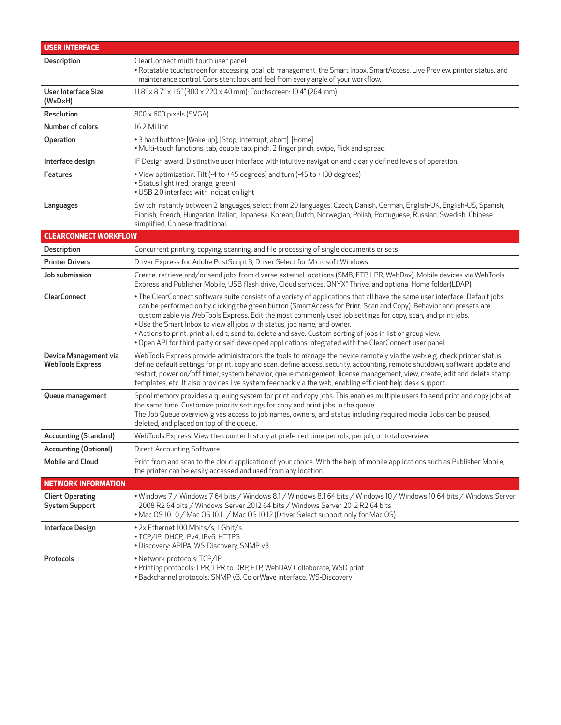| <b>USER INTERFACE</b>                            |                                                                                                                                                                                                                                                                                                                                                                                                                                                                                                                                                                                                                                                                       |
|--------------------------------------------------|-----------------------------------------------------------------------------------------------------------------------------------------------------------------------------------------------------------------------------------------------------------------------------------------------------------------------------------------------------------------------------------------------------------------------------------------------------------------------------------------------------------------------------------------------------------------------------------------------------------------------------------------------------------------------|
| Description                                      | ClearConnect multi-touch user panel<br>• Rotatable touchscreen for accessing local job management, the Smart Inbox, SmartAccess, Live Preview, printer status, and<br>maintenance control. Consistent look and feel from every angle of your workflow.                                                                                                                                                                                                                                                                                                                                                                                                                |
| User Interface Size<br>(WxDxH)                   | 11.8" x 8.7" x 1.6" (300 x 220 x 40 mm); Touchscreen: 10.4" (264 mm)                                                                                                                                                                                                                                                                                                                                                                                                                                                                                                                                                                                                  |
| Resolution                                       | 800 x 600 pixels (SVGA)                                                                                                                                                                                                                                                                                                                                                                                                                                                                                                                                                                                                                                               |
| Number of colors                                 | 16.2 Million                                                                                                                                                                                                                                                                                                                                                                                                                                                                                                                                                                                                                                                          |
| Operation                                        | • 3 hard buttons: [Wake-up], [Stop, interrupt, abort], [Home]<br>. Multi-touch functions: tab, double tap, pinch, 2 finger pinch, swipe, flick and spread.                                                                                                                                                                                                                                                                                                                                                                                                                                                                                                            |
| Interface design                                 | iF Design award: Distinctive user interface with intuitive navigation and clearly defined levels of operation.                                                                                                                                                                                                                                                                                                                                                                                                                                                                                                                                                        |
| <b>Features</b>                                  | • View optimization: Tilt (-4 to +45 degrees) and turn (-45 to +180 degrees)<br>• Status light (red, orange, green)<br>• USB 2.0 interface with indication light                                                                                                                                                                                                                                                                                                                                                                                                                                                                                                      |
| Languages                                        | Switch instantly between 2 languages, select from 20 languages; Czech, Danish, German, English-UK, English-US, Spanish,<br>Finnish, French, Hungarian, Italian, Japanese, Korean, Dutch, Norwegian, Polish, Portuguese, Russian, Swedish, Chinese<br>simplified, Chinese-traditional.                                                                                                                                                                                                                                                                                                                                                                                 |
| <b>CLEARCONNECT WORKFLOW</b>                     |                                                                                                                                                                                                                                                                                                                                                                                                                                                                                                                                                                                                                                                                       |
| Description                                      | Concurrent printing, copying, scanning, and file processing of single documents or sets.                                                                                                                                                                                                                                                                                                                                                                                                                                                                                                                                                                              |
| <b>Printer Drivers</b>                           | Driver Express for Adobe PostScript 3, Driver Select for Microsoft Windows                                                                                                                                                                                                                                                                                                                                                                                                                                                                                                                                                                                            |
| Job submission                                   | Create, retrieve and/or send jobs from diverse external locations (SMB, FTP, LPR, WebDav), Mobile devices via WebTools<br>Express and Publisher Mobile, USB flash drive, Cloud services, ONYX® Thrive, and optional Home folder(LDAP).                                                                                                                                                                                                                                                                                                                                                                                                                                |
| <b>ClearConnect</b>                              | • The ClearConnect software suite consists of a variety of applications that all have the same user interface. Default jobs<br>can be performed on by clicking the green button (SmartAccess for Print, Scan and Copy). Behavior and presets are<br>customizable via WebTools Express. Edit the most commonly used job settings for copy, scan, and print jobs.<br>. Use the Smart Inbox to view all jobs with status, job name, and owner.<br>• Actions to print, print all, edit, send to, delete and save. Custom sorting of jobs in list or group view.<br>. Open API for third-party or self-developed applications integrated with the ClearConnect user panel. |
| Device Management via<br><b>WebTools Express</b> | WebTools Express provide administrators the tools to manage the device remotely via the web: e.g. check printer status,<br>define default settings for print, copy and scan, define access, security, accounting, remote shutdown, software update and<br>restart, power on/off timer, system behavior, queue management, license management, view, create, edit and delete stamp<br>templates, etc. It also provides live system feedback via the web, enabling efficient help desk support.                                                                                                                                                                         |
| Queue management                                 | Spool memory provides a queuing system for print and copy jobs. This enables multiple users to send print and copy jobs at<br>the same time. Customize priority settings for copy and print jobs in the queue.<br>The Job Queue overview gives access to job names, owners, and status including required media. Jobs can be paused,<br>deleted, and placed on top of the queue.                                                                                                                                                                                                                                                                                      |
| Accounting (Standard)                            | WebTools Express: View the counter history at preferred time periods, per job, or total overview.                                                                                                                                                                                                                                                                                                                                                                                                                                                                                                                                                                     |
| <b>Accounting (Optional)</b>                     | <b>Direct Accounting Software</b>                                                                                                                                                                                                                                                                                                                                                                                                                                                                                                                                                                                                                                     |
| <b>Mobile and Cloud</b>                          | Print from and scan to the cloud application of your choice. With the help of mobile applications such as Publisher Mobile,<br>the printer can be easily accessed and used from any location.                                                                                                                                                                                                                                                                                                                                                                                                                                                                         |
| <b>NETWORK INFORMATION</b>                       |                                                                                                                                                                                                                                                                                                                                                                                                                                                                                                                                                                                                                                                                       |
| <b>Client Operating</b><br><b>System Support</b> | • Windows 7 / Windows 7 64 bits / Windows 8.1 / Windows 8.1 64 bits / Windows 10 / Windows 10 64 bits / Windows Server<br>2008 R2 64 bits / Windows Server 2012 64 bits / Windows Server 2012 R2 64 bits<br>• Mac OS 10.10 / Mac OS 10.11 / Mac OS 10.12 (Driver Select support only for Mac OS)                                                                                                                                                                                                                                                                                                                                                                      |
| <b>Interface Design</b>                          | • 2x Ethernet 100 Mbits/s, 1 Gbit/s<br>• TCP/IP: DHCP, IPv4, IPv6, HTTPS<br>. Discovery: APIPA, WS-Discovery, SNMP v3                                                                                                                                                                                                                                                                                                                                                                                                                                                                                                                                                 |
| Protocols                                        | • Network protocols: TCP/IP<br>• Printing protocols: LPR, LPR to DRP, FTP, WebDAV Collaborate, WSD print<br>• Backchannel protocols: SNMP v3, ColorWave interface, WS-Discovery                                                                                                                                                                                                                                                                                                                                                                                                                                                                                       |